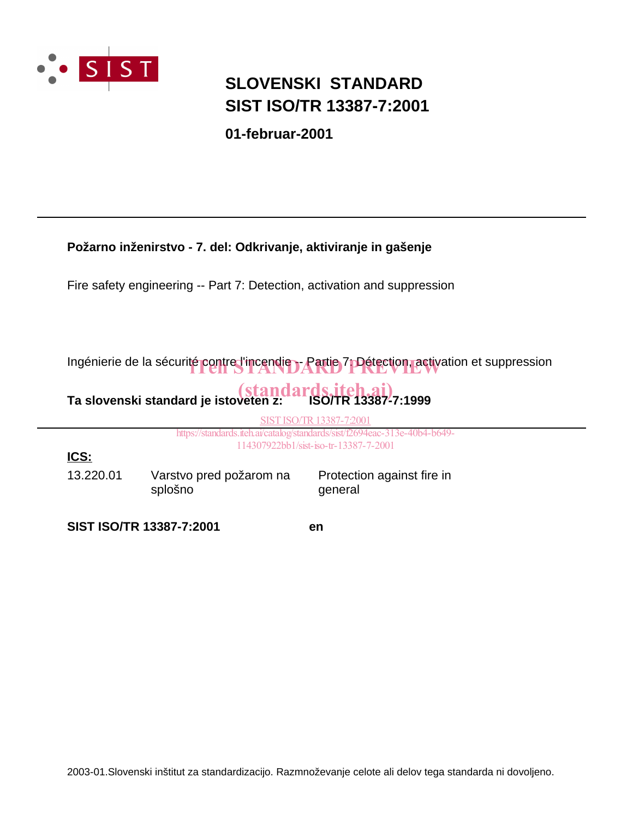

### **SIST ISO/TR 13387-7:2001 SLOVENSKI STANDARD**

**01-februar-2001**

#### **Požarno inženirstvo - 7. del: Odkrivanje, aktiviranje in gašenje**

Fire safety engineering -- Part 7: Detection, activation and suppression

Ingénierie de la sécurité contre l'incendie - Partie 7: Détection, activation et suppression

# <mark>(standards.iteh.ai)</mark><br>Ta slovenski standard je istoveten z: ISO/TR 13387-7:1999

|             | <b>SIST ISO/TR 13387-7:2001</b><br>https://standards.iteh.ai/catalog/standards/sist/f2694eac-313e-40b4-b649-<br>114307922bb1/sist-iso-tr-13387-7-2001 |                                       |  |  |
|-------------|-------------------------------------------------------------------------------------------------------------------------------------------------------|---------------------------------------|--|--|
| <u>ICS:</u> |                                                                                                                                                       |                                       |  |  |
| 13.220.01   | Varstvo pred požarom na<br>splošno                                                                                                                    | Protection against fire in<br>general |  |  |
|             |                                                                                                                                                       |                                       |  |  |

**SIST ISO/TR 13387-7:2001 en**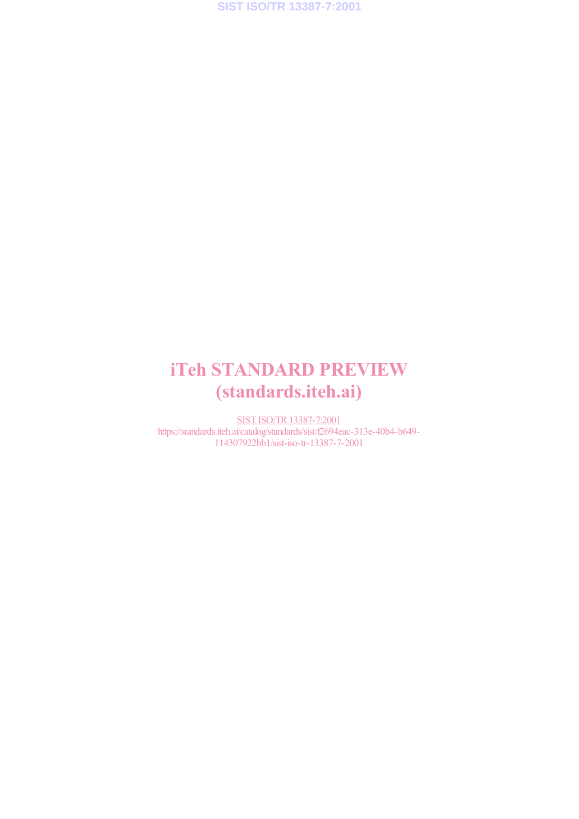**SIST ISO/TR 13387-7:2001**

## iTeh STANDARD PREVIEW (standards.iteh.ai)

SIST ISO/TR13387-7:2001 https://standards.iteh.ai/catalog/standards/sist/f2694eac-313e-40b4-b649- 114307922bb1/sist-iso-tr-13387-7-2001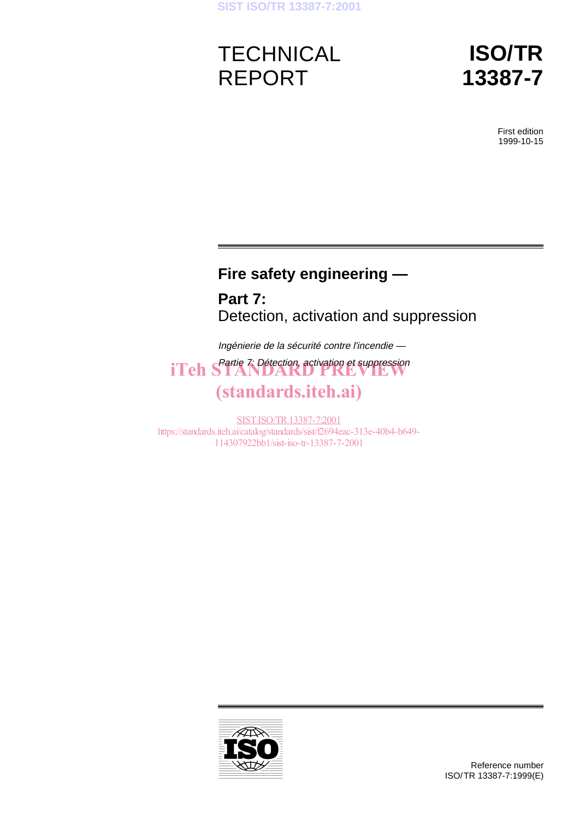# **TECHNICAL** REPORT

# **ISO/TR 13387-7**

First edition 1999-10-15

### **Fire safety engineering —**

**Part 7:** Detection, activation and suppression

Ingénierie de la sécurité contre l'incendie —

Partie 7: Détection, activation et suppression iTeh STANDARD PREVIEW

### (standards.iteh.ai)

SIST ISO/TR 13387-7:2001 https://standards.iteh.ai/catalog/standards/sist/f2694eac-313e-40b4-b649- 114307922bb1/sist-iso-tr-13387-7-2001

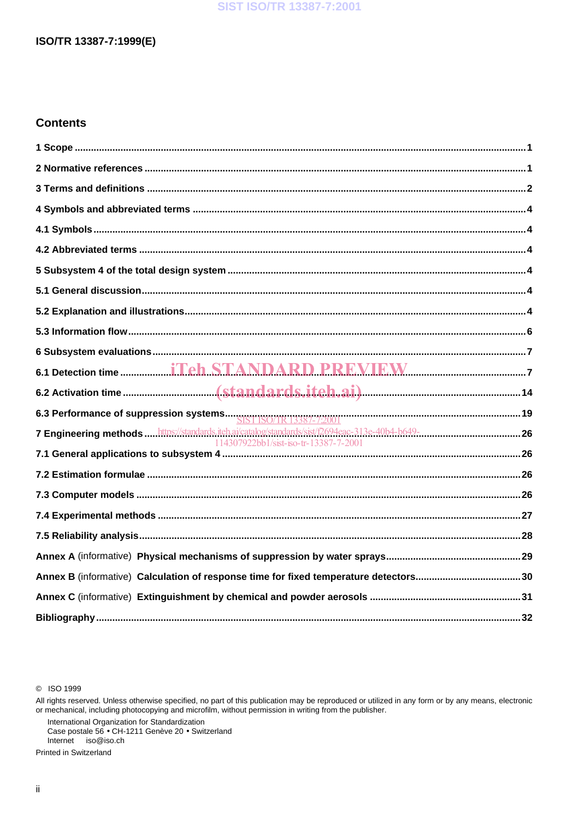#### **SIST ISO/TR 13387-7:2001**

#### ISO/TR 13387-7:1999(E)

#### **Contents**

| 7 Engineering methods https://standards.iteh.ai/catalog/standards/sist/f2694eac-313e-40b4-b649- |  |
|-------------------------------------------------------------------------------------------------|--|
|                                                                                                 |  |
|                                                                                                 |  |
|                                                                                                 |  |
|                                                                                                 |  |
|                                                                                                 |  |
|                                                                                                 |  |
|                                                                                                 |  |
|                                                                                                 |  |
|                                                                                                 |  |

C ISO 1999

All rights reserved. Unless otherwise specified, no part of this publication may be reproduced or utilized in any form or by any means, electronic or mechanical, including photocopying and microfilm, without permission in writing from the publisher.

International Organization for Standardization<br>Case postale 56 • CH-1211 Genève 20 • Switzerland Internet iso@iso.ch

Printed in Switzerland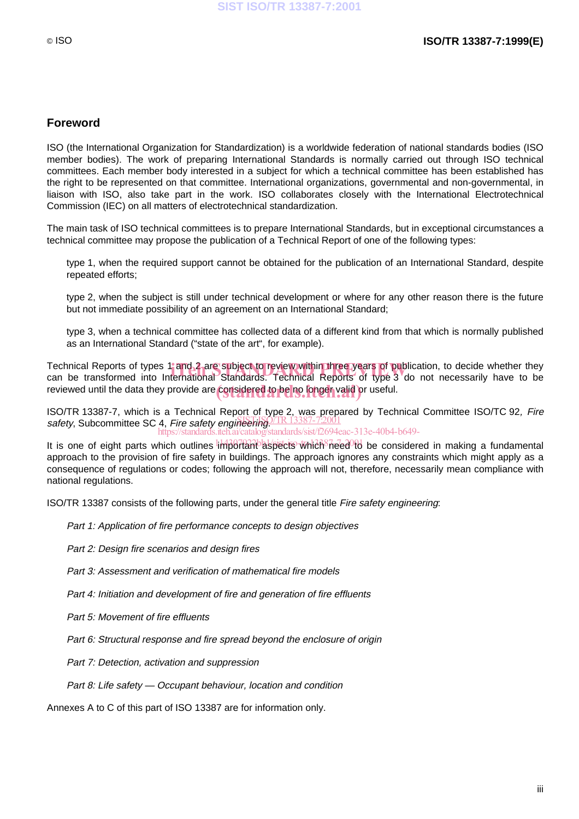#### **Foreword**

ISO (the International Organization for Standardization) is a worldwide federation of national standards bodies (ISO member bodies). The work of preparing International Standards is normally carried out through ISO technical committees. Each member body interested in a subject for which a technical committee has been established has the right to be represented on that committee. International organizations, governmental and non-governmental, in liaison with ISO, also take part in the work. ISO collaborates closely with the International Electrotechnical Commission (IEC) on all matters of electrotechnical standardization.

The main task of ISO technical committees is to prepare International Standards, but in exceptional circumstances a technical committee may propose the publication of a Technical Report of one of the following types:

- type 1, when the required support cannot be obtained for the publication of an International Standard, despite repeated efforts;
- type 2, when the subject is still under technical development or where for any other reason there is the future but not immediate possibility of an agreement on an International Standard;
- type 3, when a technical committee has collected data of a different kind from that which is normally published as an International Standard ("state of the art", for example).

Technical Reports of types 1 and 2 are subject to review within three years of publication, to decide whether they<br>can be transformed into International Standards. Technical Reports of type 3 do not necessarily have to be can be transformed into International Standards. Technical Reports of type 3 do not necessarily have to be reviewed until the data they provide are considered to be no longer valid or useful.

ISO/TR 13387-7, which is a Technical Report of type 2, was prepared by Technical Committee ISO/TC 92, Fire safety, Subcommittee SC 4, Fire safety engineering. TR 13387-7:2001 https://standards.iteh.ai/catalog/standards/sist/f2694eac-313e-40b4-b649-

It is one of eight parts which outlines important aspects which<sup>3</sup>need to be considered in making a fundamental approach to the provision of fire safety in buildings. The approach ignores any constraints which might apply as a consequence of regulations or codes; following the approach will not, therefore, necessarily mean compliance with national regulations.

ISO/TR 13387 consists of the following parts, under the general title Fire safety engineering:

- Part 1: Application of fire performance concepts to design objectives
- Part 2: Design fire scenarios and design fires
- Part 3: Assessment and verification of mathematical fire models
- Part 4: Initiation and development of fire and generation of fire effluents
- Part 5: Movement of fire effluents
- $-$  Part 6: Structural response and fire spread beyond the enclosure of origin
- Part 7: Detection, activation and suppression
- $-$  Part 8: Life safety Occupant behaviour, location and condition

Annexes A to C of this part of ISO 13387 are for information only.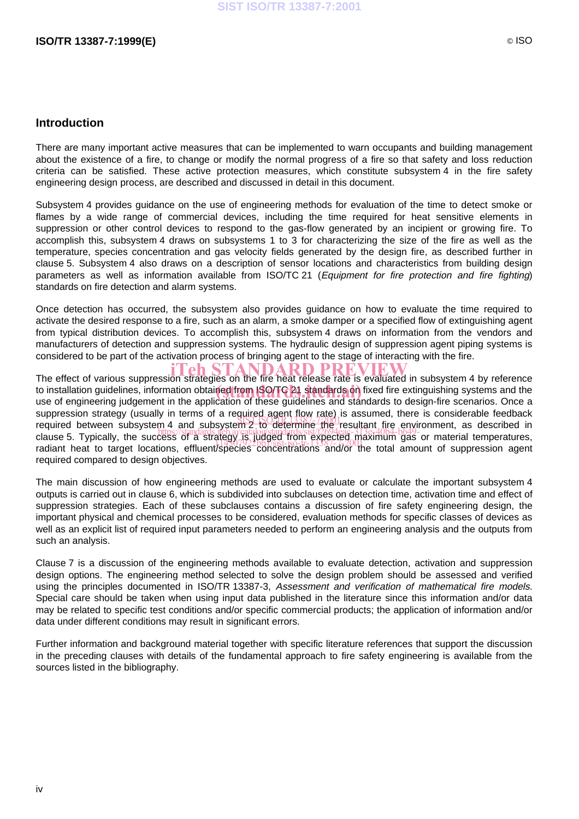#### **Introduction**

There are many important active measures that can be implemented to warn occupants and building management about the existence of a fire, to change or modify the normal progress of a fire so that safety and loss reduction criteria can be satisfied. These active protection measures, which constitute subsystem 4 in the fire safety engineering design process, are described and discussed in detail in this document.

Subsystem 4 provides guidance on the use of engineering methods for evaluation of the time to detect smoke or flames by a wide range of commercial devices, including the time required for heat sensitive elements in suppression or other control devices to respond to the gas-flow generated by an incipient or growing fire. To accomplish this, subsystem 4 draws on subsystems 1 to 3 for characterizing the size of the fire as well as the temperature, species concentration and gas velocity fields generated by the design fire, as described further in clause 5. Subsystem 4 also draws on a description of sensor locations and characteristics from building design parameters as well as information available from ISO/TC 21 (Equipment for fire protection and fire fighting) standards on fire detection and alarm systems.

Once detection has occurred, the subsystem also provides guidance on how to evaluate the time required to activate the desired response to a fire, such as an alarm, a smoke damper or a specified flow of extinguishing agent from typical distribution devices. To accomplish this, subsystem 4 draws on information from the vendors and manufacturers of detection and suppression systems. The hydraulic design of suppression agent piping systems is considered to be part of the activation process of bringing agent to the stage of interacting with the fire.

The effect of various suppression strategies on the fire heat release rate is evaluated in subsystem 4 by reference to installation guidelines, information obtained from ISO/TC 21 standards on fixed fire extinguishing systems and the<br>use of engineering judgement in the application of these guidelines and standards to design fire scenari use of engineering judgement in the application of these guidelines and standards to design-fire scenarios. Once a suppression strategy (usually in terms of a required agent flow rate) is assumed, there is considerable feedback suppression strategy (asiding in terms or a required again how rate) is assumed, there is considerable recuback<br>required between subsystem 4 and subsystem 2, to determine the resultant fire environment, as described in required between subsystem and supported in the standards. The standard maximum gas or material temperatures,<br>clause 5. Typically, the success of a strategy is judged from expected maximum gas or material temperatures, eladse 5. Typically, the success of a strategy to have their expective maximum gas of material temperatures,<br>radiant heat to target locations, effluent/species concentrations and/or the total amount of suppression agent required compared to design objectives.

The main discussion of how engineering methods are used to evaluate or calculate the important subsystem 4 outputs is carried out in clause 6, which is subdivided into subclauses on detection time, activation time and effect of suppression strategies. Each of these subclauses contains a discussion of fire safety engineering design, the important physical and chemical processes to be considered, evaluation methods for specific classes of devices as well as an explicit list of required input parameters needed to perform an engineering analysis and the outputs from such an analysis.

Clause 7 is a discussion of the engineering methods available to evaluate detection, activation and suppression design options. The engineering method selected to solve the design problem should be assessed and verified using the principles documented in ISO/TR 13387-3, Assessment and verification of mathematical fire models. Special care should be taken when using input data published in the literature since this information and/or data may be related to specific test conditions and/or specific commercial products; the application of information and/or data under different conditions may result in significant errors.

Further information and background material together with specific literature references that support the discussion in the preceding clauses with details of the fundamental approach to fire safety engineering is available from the sources listed in the bibliography.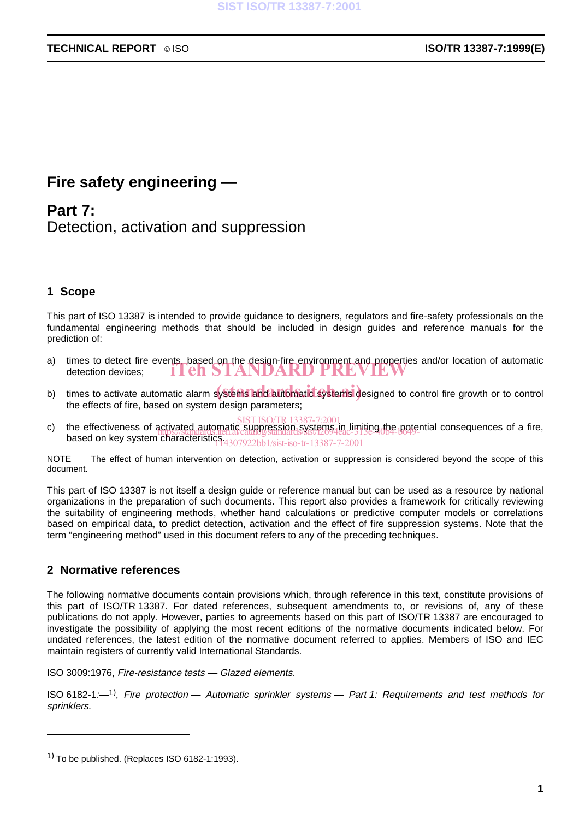### **Fire safety engineering —**

**Part 7:** Detection, activation and suppression

#### **1 Scope**

This part of ISO 13387 is intended to provide guidance to designers, regulators and fire-safety professionals on the fundamental engineering methods that should be included in design guides and reference manuals for the prediction of:

- a) times to detect fire events, based on the design-fire environment and properties and/or location of automatic detection devices; iTeh STANDARD PREVIEW
- b) times to activate automatic alarm systems and automatic systems designed to control fire growth or to control the effects of fire, based on system design parameters;
- c) the effectiveness of activated automatic suppression systems in limiting the potential consequences of a fire, the enectiveness of activated automatics supplession, system in immuno the power<br>based on key system characteristics. and an interval light in the 12384-4-001 114307922bb1/sist-iso-tr-13387-7-2001

NOTE The effect of human intervention on detection, activation or suppression is considered beyond the scope of this document.

This part of ISO 13387 is not itself a design guide or reference manual but can be used as a resource by national organizations in the preparation of such documents. This report also provides a framework for critically reviewing the suitability of engineering methods, whether hand calculations or predictive computer models or correlations based on empirical data, to predict detection, activation and the effect of fire suppression systems. Note that the term "engineering method" used in this document refers to any of the preceding techniques.

#### **2 Normative references**

-

The following normative documents contain provisions which, through reference in this text, constitute provisions of this part of ISO/TR 13387. For dated references, subsequent amendments to, or revisions of, any of these publications do not apply. However, parties to agreements based on this part of ISO/TR 13387 are encouraged to investigate the possibility of applying the most recent editions of the normative documents indicated below. For undated references, the latest edition of the normative document referred to applies. Members of ISO and IEC maintain registers of currently valid International Standards.

ISO 3009:1976, Fire-resistance tests — Glazed elements.

ISO 6182-1: $-1$ <sup>1</sup>), Fire protection – Automatic sprinkler systems – Part 1: Requirements and test methods for sprinklers.

 $1)$  To be published. (Replaces ISO 6182-1:1993).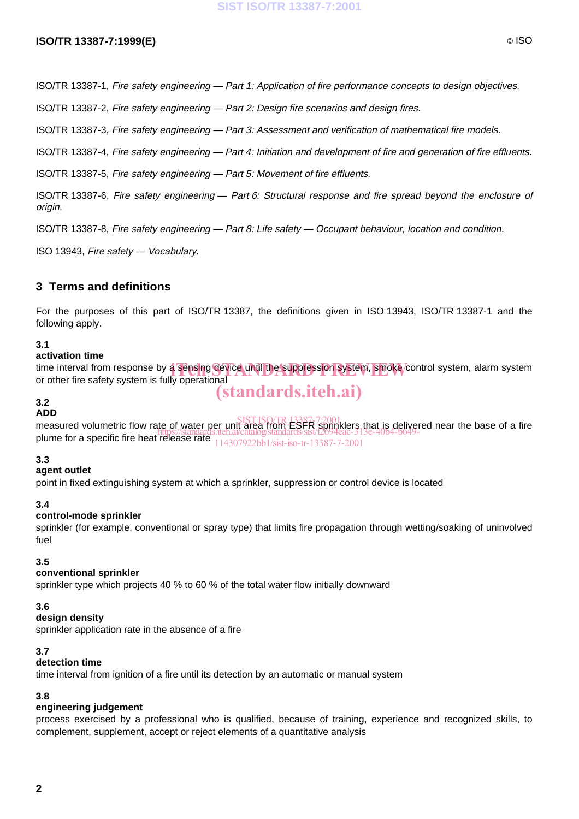#### **SIST ISO/TR 13387-7:2001**

#### **ISO/TR 13387-7:1999(E)** © ISO

ISO/TR 13387-1, Fire safety engineering — Part 1: Application of fire performance concepts to design objectives.

ISO/TR 13387-2, Fire safety engineering — Part 2: Design fire scenarios and design fires.

ISO/TR 13387-3, Fire safety engineering — Part 3: Assessment and verification of mathematical fire models.

ISO/TR 13387-4, Fire safety engineering — Part 4: Initiation and development of fire and generation of fire effluents.

ISO/TR 13387-5, Fire safety engineering — Part 5: Movement of fire effluents.

ISO/TR 13387-6, Fire safety engineering — Part 6: Structural response and fire spread beyond the enclosure of origin.

ISO/TR 13387-8, Fire safety engineering — Part 8: Life safety — Occupant behaviour, location and condition.

ISO 13943, Fire safety — Vocabulary.

#### **3 Terms and definitions**

For the purposes of this part of ISO/TR 13387, the definitions given in ISO 13943, ISO/TR 13387-1 and the following apply.

#### **3.1**

#### **activation time**

time interval from response by a sensing device until the suppression system, smoke control system, alarm system<br>or other fire safety system is fully operational or other fire safety system is fully operational

### (standards.iteh.ai)

#### **3.2 ADD**

ABB<br>measured volumetric flow rate of water per unit area from ESFR sprinklers that is delivered near the base of a fire measured voluments now rate of water per unit area non-constructed in  $\frac{1}{2}$  . Se-40b4-b649-<br>plume for a specific fire heat release rate  $\frac{114207020 \text{h}}{114207020 \text{h}}$ 114307922bb1/sist-iso-tr-13387-7-2001

#### **3.3**

#### **agent outlet**

point in fixed extinguishing system at which a sprinkler, suppression or control device is located

#### **3.4**

#### **control-mode sprinkler**

sprinkler (for example, conventional or spray type) that limits fire propagation through wetting/soaking of uninvolved fuel

#### **3.5**

#### **conventional sprinkler**

sprinkler type which projects 40 % to 60 % of the total water flow initially downward

#### **3.6**

#### **design density**

sprinkler application rate in the absence of a fire

#### **3.7**

#### **detection time**

time interval from ignition of a fire until its detection by an automatic or manual system

#### **3.8**

#### **engineering judgement**

process exercised by a professional who is qualified, because of training, experience and recognized skills, to complement, supplement, accept or reject elements of a quantitative analysis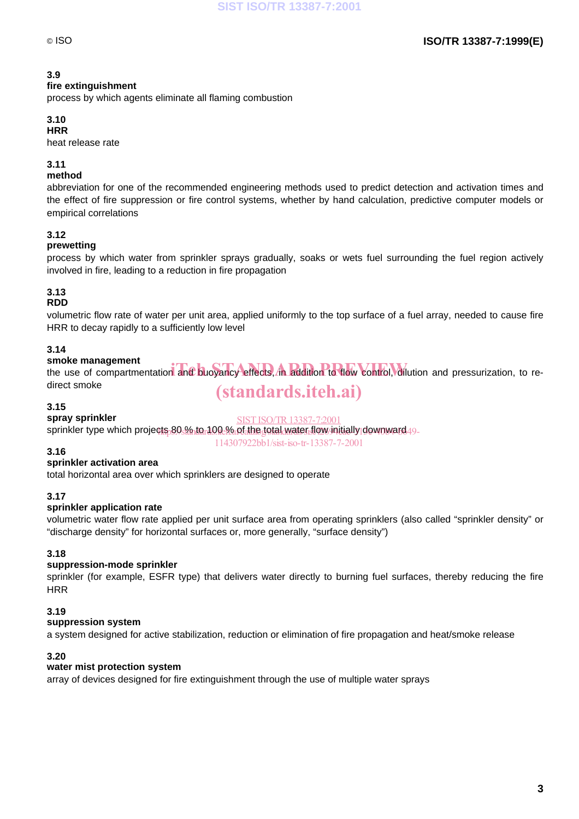#### © ISO **ISO/TR 13387-7:1999(E)**

#### **3.9**

#### **fire extinguishment**

process by which agents eliminate all flaming combustion

#### **3.10**

**HRR**

heat release rate

#### **3.11**

#### **method**

abbreviation for one of the recommended engineering methods used to predict detection and activation times and the effect of fire suppression or fire control systems, whether by hand calculation, predictive computer models or empirical correlations

#### **3.12**

#### **prewetting**

process by which water from sprinkler sprays gradually, soaks or wets fuel surrounding the fuel region actively involved in fire, leading to a reduction in fire propagation

### **3.13**

#### **RDD**

volumetric flow rate of water per unit area, applied uniformly to the top surface of a fuel array, needed to cause fire HRR to decay rapidly to a sufficiently low level

#### **3.14**

#### **smoke management**

smoke management<br>the use of compartmentation and buoyancy effects, in addition to flow control, dilution and pressurization, to redirect smoke

### (standards.iteh.ai)

#### **3.15**

#### **spray sprinkler**

sprinkler type which projects 80 % to 100 % of the total water flow initially downward <sub>49</sub> . SIST ISO/TR13387-7:2001

114307922bb1/sist-iso-tr-13387-7-2001

#### **3.16**

#### **sprinkler activation area**

total horizontal area over which sprinklers are designed to operate

#### **3.17**

#### **sprinkler application rate**

volumetric water flow rate applied per unit surface area from operating sprinklers (also called "sprinkler density" or "discharge density" for horizontal surfaces or, more generally, "surface density")

#### **3.18**

#### **suppression-mode sprinkler**

sprinkler (for example, ESFR type) that delivers water directly to burning fuel surfaces, thereby reducing the fire HRR

#### **3.19**

#### **suppression system**

a system designed for active stabilization, reduction or elimination of fire propagation and heat/smoke release

#### **3.20**

#### **water mist protection system**

array of devices designed for fire extinguishment through the use of multiple water sprays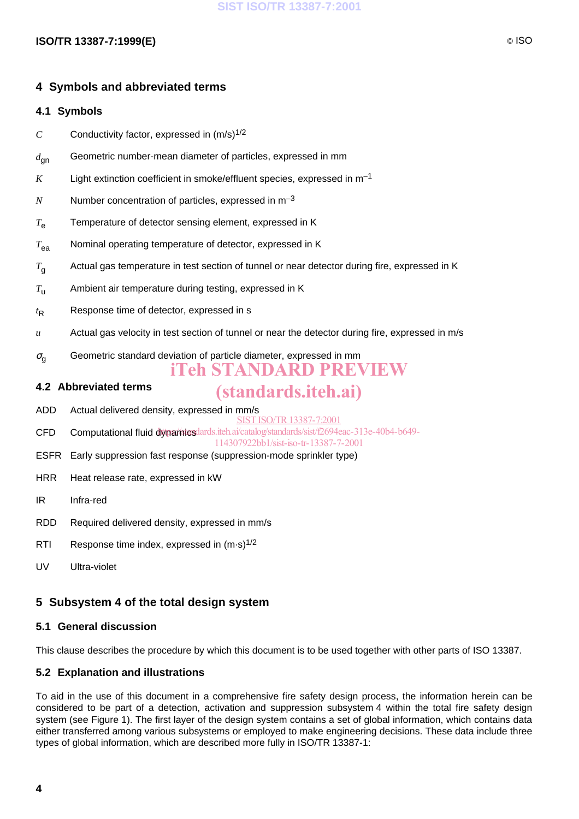#### **4 Symbols and abbreviated terms**

#### **4.1 Symbols**

- *C* Conductivity factor, expressed in  $(m/s)^{1/2}$
- *d*gn Geometric number-mean diameter of particles, expressed in mm
- $K$  Light extinction coefficient in smoke/effluent species, expressed in  $m^{-1}$
- $N$  Number concentration of particles, expressed in  $m^{-3}$
- *T*<sup>e</sup> Temperature of detector sensing element, expressed in K
- *T*ea Nominal operating temperature of detector, expressed in K
- *T*<sup>g</sup> Actual gas temperature in test section of tunnel or near detector during fire, expressed in K
- *T*<sup>u</sup> Ambient air temperature during testing, expressed in K
- $t_{\mathsf{R}}$ Response time of detector, expressed in s
- *u* Actual gas velocity in test section of tunnel or near the detector during fire, expressed in m/s
- $\sigma_{\alpha}$  Geometric standard deviation of particle diameter, expressed in mm
- **4.2 Abbreviated terms**

### (standards.iteh.ai)

iTeh STANDARD PREVIEW

- ADD Actual delivered density, expressed in mm/s
- CFD Computational fluid dynamicslards.iteh.ai/catalog/standards/sist/f2694eac-313e-40b4-b649-SIST ISO/TR13387-7:2001
	- 114307922bb1/sist-iso-tr-13387-7-2001
- ESFR Early suppression fast response (suppression-mode sprinkler type)
- HRR Heat release rate, expressed in kW
- IR Infra-red
- RDD Required delivered density, expressed in mm/s
- RTI Response time index, expressed in  $(m·s)^{1/2}$
- UV Ultra-violet

#### **5 Subsystem 4 of the total design system**

#### **5.1 General discussion**

This clause describes the procedure by which this document is to be used together with other parts of ISO 13387.

#### **5.2 Explanation and illustrations**

To aid in the use of this document in a comprehensive fire safety design process, the information herein can be considered to be part of a detection, activation and suppression subsystem 4 within the total fire safety design system (see Figure 1). The first layer of the design system contains a set of global information, which contains data either transferred among various subsystems or employed to make engineering decisions. These data include three types of global information, which are described more fully in ISO/TR 13387-1: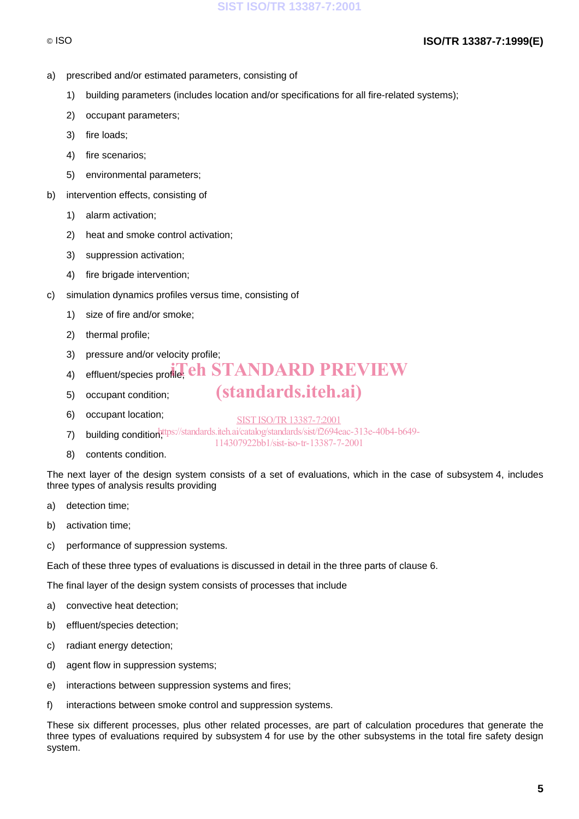#### © ISO **ISO/TR 13387-7:1999(E)**

- a) prescribed and/or estimated parameters, consisting of
	- 1) building parameters (includes location and/or specifications for all fire-related systems);
	- 2) occupant parameters;
	- 3) fire loads;
	- 4) fire scenarios;
	- 5) environmental parameters;
- b) intervention effects, consisting of
	- 1) alarm activation;
	- 2) heat and smoke control activation;
	- 3) suppression activation;
	- 4) fire brigade intervention;
- c) simulation dynamics profiles versus time, consisting of
	- 1) size of fire and/or smoke;
	- 2) thermal profile;
	- 3) pressure and/or velocity profile;
	- 4) effluent/species profile; **eh STANDARD PREVIEW**
	- 5) occupant condition;
	- 6) occupant location;
- SIST ISO/TR13387-7:2001

(standards.iteh.ai)

- 7) building condition<sup>t</sup> the standards.iteh.ai/catalog/standards/sist/f2694eac-313e-40b4-b649-114307922bb1/sist-iso-tr-13387-7-2001
- 8) contents condition.

The next layer of the design system consists of a set of evaluations, which in the case of subsystem 4, includes three types of analysis results providing

- a) detection time;
- b) activation time;
- c) performance of suppression systems.

Each of these three types of evaluations is discussed in detail in the three parts of clause 6.

The final layer of the design system consists of processes that include

- a) convective heat detection;
- b) effluent/species detection;
- c) radiant energy detection;
- d) agent flow in suppression systems;
- e) interactions between suppression systems and fires;
- f) interactions between smoke control and suppression systems.

These six different processes, plus other related processes, are part of calculation procedures that generate the three types of evaluations required by subsystem 4 for use by the other subsystems in the total fire safety design system.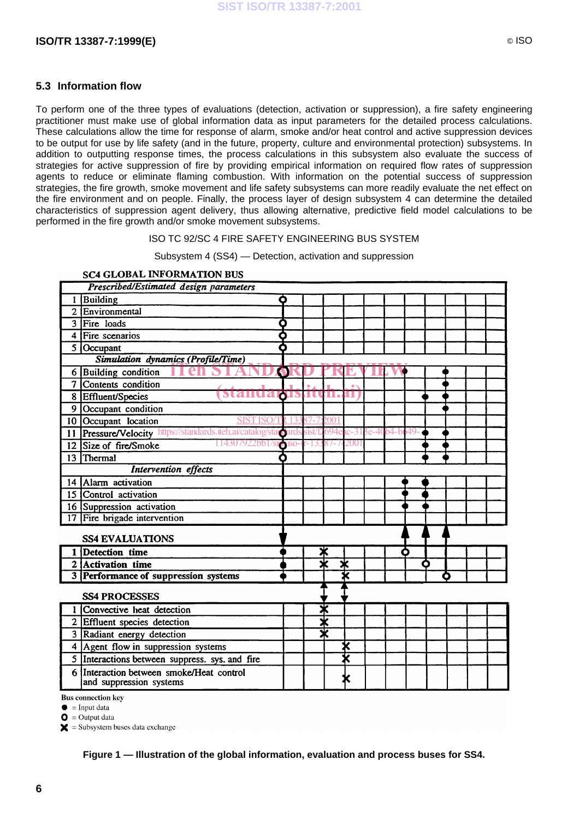#### **5.3 Information flow**

To perform one of the three types of evaluations (detection, activation or suppression), a fire safety engineering practitioner must make use of global information data as input parameters for the detailed process calculations. These calculations allow the time for response of alarm, smoke and/or heat control and active suppression devices to be output for use by life safety (and in the future, property, culture and environmental protection) subsystems. In addition to outputting response times, the process calculations in this subsystem also evaluate the success of strategies for active suppression of fire by providing empirical information on required flow rates of suppression agents to reduce or eliminate flaming combustion. With information on the potential success of suppression strategies, the fire growth, smoke movement and life safety subsystems can more readily evaluate the net effect on the fire environment and on people. Finally, the process layer of design subsystem 4 can determine the detailed characteristics of suppression agent delivery, thus allowing alternative, predictive field model calculations to be performed in the fire growth and/or smoke movement subsystems.

#### ISO TC 92/SC 4 FIRE SAFETY ENGINEERING BUS SYSTEM

Subsystem 4 (SS4) — Detection, activation and suppression

|                        | Prescribed/Estimated design parameters                                                         |  |  |  |  |  |  |  |
|------------------------|------------------------------------------------------------------------------------------------|--|--|--|--|--|--|--|
|                        | <b>Building</b><br>Ο                                                                           |  |  |  |  |  |  |  |
|                        | 2 Environmental                                                                                |  |  |  |  |  |  |  |
|                        | 3 Fire loads<br>O                                                                              |  |  |  |  |  |  |  |
|                        | 4 Fire scenarios                                                                               |  |  |  |  |  |  |  |
|                        | 5 Occupant                                                                                     |  |  |  |  |  |  |  |
|                        | <b>Simulation</b> dynamics (Profile/Time)                                                      |  |  |  |  |  |  |  |
|                        | 6 Building condition<br>A                                                                      |  |  |  |  |  |  |  |
|                        | 7 Contents condition                                                                           |  |  |  |  |  |  |  |
|                        | oisilu<br>TII.<br>8 Effluent/Species<br>u                                                      |  |  |  |  |  |  |  |
|                        | 9 Occupant condition                                                                           |  |  |  |  |  |  |  |
|                        | 10 Occupant location<br>()()                                                                   |  |  |  |  |  |  |  |
|                        | 11 Pressure/Velocity https://standards.iteh.ai/catalog/standards.sist/f2694e<br>ic-31Be-40b4-b |  |  |  |  |  |  |  |
|                        | 114307922bb1/size iso-1<br>12 Size of fire/Smoke<br>r-133<br>2001<br>87-7                      |  |  |  |  |  |  |  |
|                        | 13 Thermal                                                                                     |  |  |  |  |  |  |  |
|                        | <b>Intervention</b> effects                                                                    |  |  |  |  |  |  |  |
|                        | 14 Alarm activation                                                                            |  |  |  |  |  |  |  |
|                        | 15 Control activation                                                                          |  |  |  |  |  |  |  |
|                        | 16 Suppression activation                                                                      |  |  |  |  |  |  |  |
|                        | 17 Fire brigade intervention                                                                   |  |  |  |  |  |  |  |
| <b>SS4 EVALUATIONS</b> |                                                                                                |  |  |  |  |  |  |  |
|                        | 1 Detection time<br>≭<br>О                                                                     |  |  |  |  |  |  |  |
|                        | $\overline{\textbf{x}}$<br>$\overline{\textbf{x}}$<br>2 Activation time<br>O                   |  |  |  |  |  |  |  |
|                        | 3 Performance of suppression systems<br>x                                                      |  |  |  |  |  |  |  |
|                        | <b>SS4 PROCESSES</b>                                                                           |  |  |  |  |  |  |  |
|                        | ₮<br>1 Convective heat detection                                                               |  |  |  |  |  |  |  |
|                        | ¥<br>2 Effluent species detection                                                              |  |  |  |  |  |  |  |
|                        | Ӯ<br>3 Radiant energy detection                                                                |  |  |  |  |  |  |  |
|                        | X<br>4 Agent flow in suppression systems                                                       |  |  |  |  |  |  |  |
|                        | 5 Interactions between suppress. sys. and fire                                                 |  |  |  |  |  |  |  |
| 6                      | Interaction between smoke/Heat control<br>and suppression systems                              |  |  |  |  |  |  |  |

#### **SC4 GLOBAL INFORMATION BUS**

**Bus connection key** 

 $\bullet$  = Input data

 $\bullet$  = Output data

 $\mathbf{\times}$  = Subsystem buses data exchange

**Figure 1 — Illustration of the global information, evaluation and process buses for SS4.**